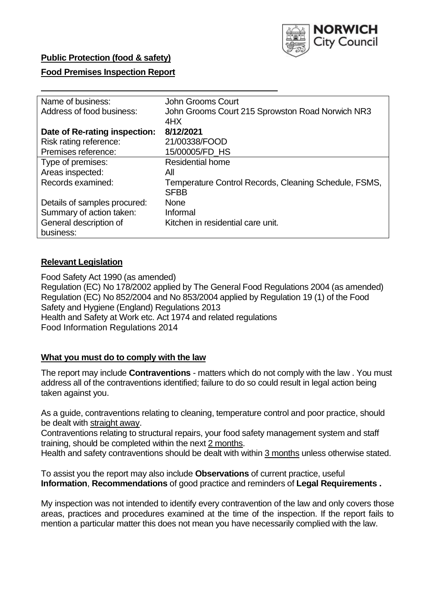

## **Public Protection (food & safety)**

## **Food Premises Inspection Report**

| Name of business:             | John Grooms Court                                     |
|-------------------------------|-------------------------------------------------------|
| Address of food business:     | John Grooms Court 215 Sprowston Road Norwich NR3      |
|                               | 4HX                                                   |
| Date of Re-rating inspection: | 8/12/2021                                             |
| Risk rating reference:        | 21/00338/FOOD                                         |
| Premises reference:           | 15/00005/FD_HS                                        |
| Type of premises:             | <b>Residential home</b>                               |
| Areas inspected:              | All                                                   |
| Records examined:             | Temperature Control Records, Cleaning Schedule, FSMS, |
|                               | <b>SFBB</b>                                           |
| Details of samples procured:  | <b>None</b>                                           |
| Summary of action taken:      | Informal                                              |
| General description of        | Kitchen in residential care unit.                     |
| business:                     |                                                       |

## **Relevant Legislation**

Food Safety Act 1990 (as amended) Regulation (EC) No 178/2002 applied by The General Food Regulations 2004 (as amended) Regulation (EC) No 852/2004 and No 853/2004 applied by Regulation 19 (1) of the Food Safety and Hygiene (England) Regulations 2013 Health and Safety at Work etc. Act 1974 and related regulations Food Information Regulations 2014

#### **What you must do to comply with the law**

The report may include **Contraventions** - matters which do not comply with the law . You must address all of the contraventions identified; failure to do so could result in legal action being taken against you.

As a guide, contraventions relating to cleaning, temperature control and poor practice, should be dealt with straight away.

Contraventions relating to structural repairs, your food safety management system and staff training, should be completed within the next 2 months.

Health and safety contraventions should be dealt with within 3 months unless otherwise stated.

To assist you the report may also include **Observations** of current practice, useful **Information**, **Recommendations** of good practice and reminders of **Legal Requirements .** 

My inspection was not intended to identify every contravention of the law and only covers those areas, practices and procedures examined at the time of the inspection. If the report fails to mention a particular matter this does not mean you have necessarily complied with the law.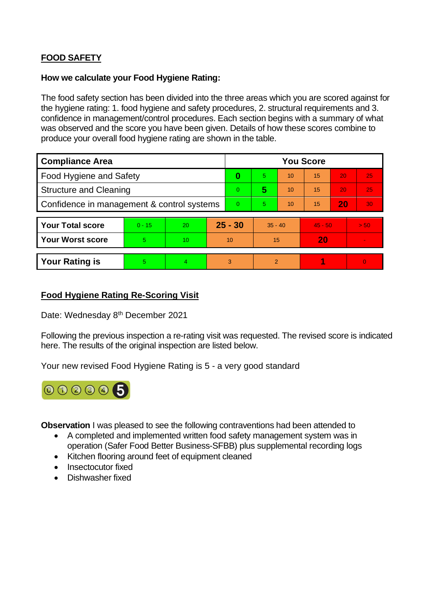# **FOOD SAFETY**

## **How we calculate your Food Hygiene Rating:**

The food safety section has been divided into the three areas which you are scored against for the hygiene rating: 1. food hygiene and safety procedures, 2. structural requirements and 3. confidence in management/control procedures. Each section begins with a summary of what was observed and the score you have been given. Details of how these scores combine to produce your overall food hygiene rating are shown in the table.

| <b>Compliance Area</b>                     |          |                 |           | <b>You Score</b> |           |    |           |    |          |  |  |
|--------------------------------------------|----------|-----------------|-----------|------------------|-----------|----|-----------|----|----------|--|--|
| Food Hygiene and Safety                    |          |                 |           | 0                | 5.        | 10 | 15        | 20 | 25       |  |  |
| <b>Structure and Cleaning</b>              |          |                 |           | $\Omega$         | 5         | 10 | 15        | 20 | 25       |  |  |
| Confidence in management & control systems |          |                 |           | $\Omega$         | 5         | 10 | 15        | 20 | 30       |  |  |
|                                            |          |                 |           |                  |           |    |           |    |          |  |  |
| <b>Your Total score</b>                    | $0 - 15$ | <b>20</b>       | $25 - 30$ |                  | $35 - 40$ |    | $45 - 50$ |    | > 50     |  |  |
| <b>Your Worst score</b>                    | 5        | 10 <sup>°</sup> | 10        |                  | 15        |    | 20        |    |          |  |  |
|                                            |          |                 |           |                  |           |    |           |    |          |  |  |
| <b>Your Rating is</b>                      | 5        | 4               |           | 3                | 2         |    |           |    | $\Omega$ |  |  |

# **Food Hygiene Rating Re-Scoring Visit**

Date: Wednesday 8<sup>th</sup> December 2021

Following the previous inspection a re-rating visit was requested. The revised score is indicated here. The results of the original inspection are listed below.

Your new revised Food Hygiene Rating is 5 - a very good standard



**Observation** I was pleased to see the following contraventions had been attended to

- A completed and implemented written food safety management system was in operation (Safer Food Better Business-SFBB) plus supplemental recording logs
- Kitchen flooring around feet of equipment cleaned
- Insectocutor fixed
- Dishwasher fixed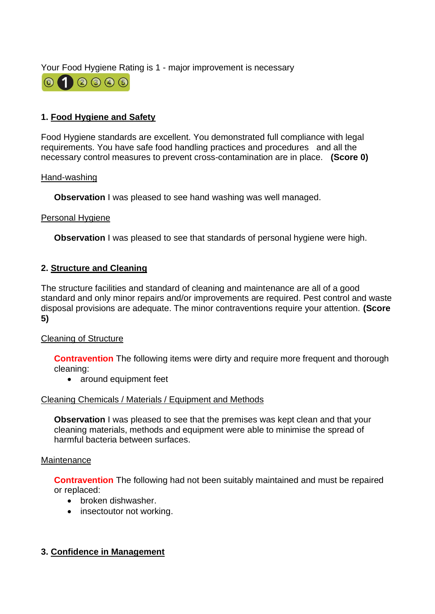Your Food Hygiene Rating is 1 - major improvement is necessary



# **1. Food Hygiene and Safety**

Food Hygiene standards are excellent. You demonstrated full compliance with legal requirements. You have safe food handling practices and procedures and all the necessary control measures to prevent cross-contamination are in place. **(Score 0)** 

#### Hand-washing

**Observation** I was pleased to see hand washing was well managed.

#### Personal Hygiene

**Observation** I was pleased to see that standards of personal hygiene were high.

## **2. Structure and Cleaning**

The structure facilities and standard of cleaning and maintenance are all of a good standard and only minor repairs and/or improvements are required. Pest control and waste disposal provisions are adequate. The minor contraventions require your attention. **(Score 5)** 

## Cleaning of Structure

**Contravention** The following items were dirty and require more frequent and thorough cleaning:

• around equipment feet

## Cleaning Chemicals / Materials / Equipment and Methods

**Observation** I was pleased to see that the premises was kept clean and that your cleaning materials, methods and equipment were able to minimise the spread of harmful bacteria between surfaces.

#### **Maintenance**

**Contravention** The following had not been suitably maintained and must be repaired or replaced:

- broken dishwasher.
- insectoutor not working.

## **3. Confidence in Management**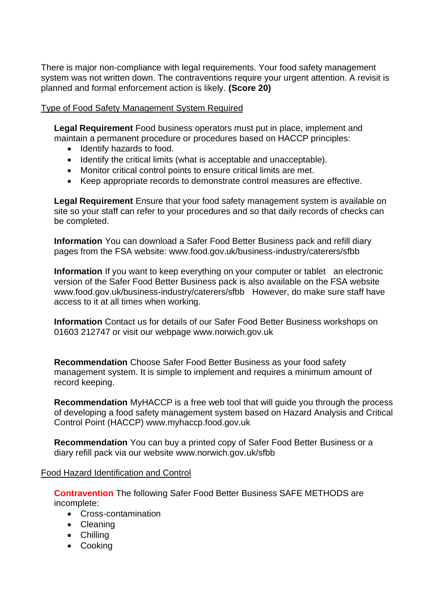There is major non-compliance with legal requirements. Your food safety management system was not written down. The contraventions require your urgent attention. A revisit is planned and formal enforcement action is likely. **(Score 20)** 

## Type of Food Safety Management System Required

**Legal Requirement** Food business operators must put in place, implement and maintain a permanent procedure or procedures based on HACCP principles:

- Identify hazards to food.
- Identify the critical limits (what is acceptable and unacceptable).
- Monitor critical control points to ensure critical limits are met.
- Keep appropriate records to demonstrate control measures are effective.

**Legal Requirement** Ensure that your food safety management system is available on site so your staff can refer to your procedures and so that daily records of checks can be completed.

**Information** You can download a Safer Food Better Business pack and refill diary pages from the FSA website: <www.food.gov.uk/business-industry/caterers/sfbb>

**Information** If you want to keep everything on your computer or tablet an electronic version of the Safer Food Better Business pack is also available on the FSA website <www.food.gov.uk/business-industry/caterers/sfbb>However, do make sure staff have access to it at all times when working.

**Information** Contact us for details of our Safer Food Better Business workshops on 01603 212747 or visit our webpage <www.norwich.gov.uk>

**Recommendation** Choose Safer Food Better Business as your food safety management system. It is simple to implement and requires a minimum amount of record keeping.

**Recommendation** MyHACCP is a free web tool that will guide you through the process of developing a food safety management system based on Hazard Analysis and Critical Control Point (HACCP)<www.myhaccp.food.gov.uk>

**Recommendation** You can buy a printed copy of Safer Food Better Business or a diary refill pack via our website<www.norwich.gov.uk/sfbb>

## Food Hazard Identification and Control

**Contravention** The following Safer Food Better Business SAFE METHODS are incomplete:

- Cross-contamination
- Cleaning
- Chilling
- Cooking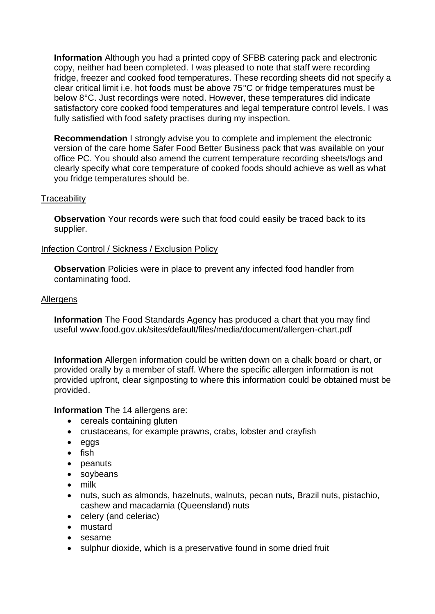**Information** Although you had a printed copy of SFBB catering pack and electronic copy, neither had been completed. I was pleased to note that staff were recording fridge, freezer and cooked food temperatures. These recording sheets did not specify a clear critical limit i.e. hot foods must be above 75°C or fridge temperatures must be below 8°C. Just recordings were noted. However, these temperatures did indicate satisfactory core cooked food temperatures and legal temperature control levels. I was fully satisfied with food safety practises during my inspection.

**Recommendation** I strongly advise you to complete and implement the electronic version of the care home Safer Food Better Business pack that was available on your office PC. You should also amend the current temperature recording sheets/logs and clearly specify what core temperature of cooked foods should achieve as well as what you fridge temperatures should be.

#### **Traceability**

**Observation** Your records were such that food could easily be traced back to its supplier.

#### Infection Control / Sickness / Exclusion Policy

**Observation** Policies were in place to prevent any infected food handler from contaminating food.

#### **Allergens**

**Information** The Food Standards Agency has produced a chart that you may find useful <www.food.gov.uk/sites/default/files/media/document/allergen-chart.pdf>

**Information** Allergen information could be written down on a chalk board or chart, or provided orally by a member of staff. Where the specific allergen information is not provided upfront, clear signposting to where this information could be obtained must be provided.

**Information** The 14 allergens are:

- cereals containing gluten
- crustaceans, for example prawns, crabs, lobster and crayfish
- eggs
- fish
- peanuts
- soybeans
- milk
- nuts, such as almonds, hazelnuts, walnuts, pecan nuts, Brazil nuts, pistachio, cashew and macadamia (Queensland) nuts
- celery (and celeriac)
- mustard
- sesame
- sulphur dioxide, which is a preservative found in some dried fruit